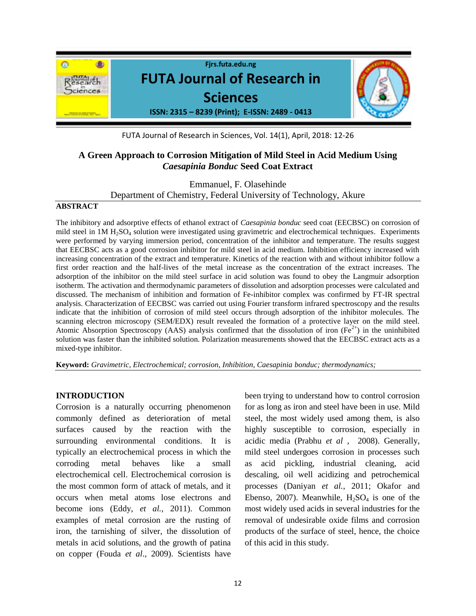

FUTA Journal of Research in Sciences, Vol. 14(1), April, 2018: 12-26

# **A Green Approach to Corrosion Mitigation of Mild Steel in Acid Medium Using**  *Caesapinia Bonduc* **Seed Coat Extract**

Emmanuel, F. Olasehinde Department of Chemistry, Federal University of Technology, Akure

### **ABSTRACT**

The inhibitory and adsorptive effects of ethanol extract of *Caesapinia bonduc* seed coat (EECBSC) on corrosion of mild steel in 1M H<sub>2</sub>SO<sub>4</sub> solution were investigated using gravimetric and electrochemical techniques. Experiments were performed by varying immersion period, concentration of the inhibitor and temperature. The results suggest that EECBSC acts as a good corrosion inhibitor for mild steel in acid medium. Inhibition efficiency increased with increasing concentration of the extract and temperature. Kinetics of the reaction with and without inhibitor follow a first order reaction and the half-lives of the metal increase as the concentration of the extract increases. The adsorption of the inhibitor on the mild steel surface in acid solution was found to obey the Langmuir adsorption isotherm. The activation and thermodynamic parameters of dissolution and adsorption processes were calculated and discussed. The mechanism of inhibition and formation of Fe-inhibitor complex was confirmed by FT-IR spectral analysis. Characterization of EECBSC was carried out using Fourier transform infrared spectroscopy and the results indicate that the inhibition of corrosion of mild steel occurs through adsorption of the inhibitor molecules. The scanning electron microscopy (SEM/EDX) result revealed the formation of a protective layer on the mild steel. Atomic Absorption Spectroscopy (AAS) analysis confirmed that the dissolution of iron ( $Fe<sup>2+</sup>$ ) in the uninhibited solution was faster than the inhibited solution. Polarization measurements showed that the EECBSC extract acts as a mixed-type inhibitor.

**Keyword:** *Gravimetric, Electrochemical; corrosion, Inhibition, Caesapinia bonduc; thermodynamics;* 

## **INTRODUCTION**

Corrosion is a naturally occurring phenomenon commonly defined as deterioration of metal surfaces caused by the reaction with the surrounding environmental conditions. It is typically an electrochemical process in which the corroding metal behaves like a small electrochemical cell. Electrochemical corrosion is the most common form of attack of metals, and it occurs when metal atoms lose electrons and become ions (Eddy, *et al.,* 2011). Common examples of metal corrosion are the rusting of iron, the tarnishing of silver, the dissolution of metals in acid solutions, and the growth of patina on copper (Fouda *et al*., 2009). Scientists have

been trying to understand how to control corrosion for as long as iron and steel have been in use. Mild steel, the most widely used among them, is also highly susceptible to corrosion, especially in acidic media (Prabhu *et al* , 2008). Generally, mild steel undergoes corrosion in processes such as acid pickling, industrial cleaning, acid descaling, oil well acidizing and petrochemical processes (Daniyan *et al.,* 2011; Okafor and Ebenso, 2007). Meanwhile,  $H_2SO_4$  is one of the most widely used acids in several industries for the removal of undesirable oxide films and corrosion products of the surface of steel, hence, the choice of this acid in this study.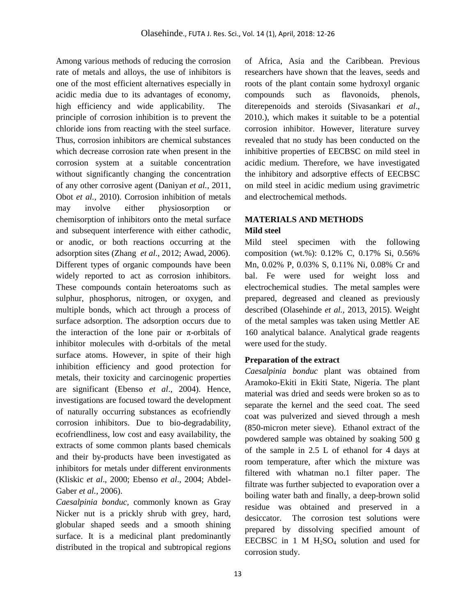Among various methods of reducing the corrosion rate of metals and alloys, the use of inhibitors is one of the most efficient alternatives especially in acidic media due to its advantages of economy, high efficiency and wide applicability. The principle of corrosion inhibition is to prevent the chloride ions from reacting with the steel surface. Thus, corrosion inhibitors are chemical substances which decrease corrosion rate when present in the corrosion system at a suitable concentration without significantly changing the concentration of any other corrosive agent (Daniyan *et al.,* 2011, Obot *et al.,* 2010). Corrosion inhibition of metals may involve either physiosorption or chemisorption of inhibitors onto the metal surface and subsequent interference with either cathodic, or anodic, or both reactions occurring at the adsorption sites (Zhang *et al*., 2012; Awad, 2006). Different types of organic compounds have been widely reported to act as corrosion inhibitors. These compounds contain heteroatoms such as sulphur, phosphorus, nitrogen, or oxygen, and multiple bonds, which act through a process of surface adsorption. The adsorption occurs due to the interaction of the lone pair or  $\pi$ -orbitals of inhibitor molecules with d-orbitals of the metal surface atoms. However, in spite of their high inhibition efficiency and good protection for metals, their toxicity and carcinogenic properties are significant (Ebenso *et al*., 2004). Hence, investigations are focused toward the development of naturally occurring substances as ecofriendly corrosion inhibitors. Due to bio-degradability, ecofriendliness, low cost and easy availability, the extracts of some common plants based chemicals and their by-products have been investigated as inhibitors for metals under different environments (Kliskic *et al*., 2000; Ebenso *et al*., 2004; Abdel-Gaber *et al.,* 2006).

*Caesalpinia bonduc,* commonly known as Gray Nicker nut is a prickly shrub with grey, hard, globular shaped seeds and a smooth shining surface. It is a medicinal plant predominantly distributed in the tropical and subtropical regions

of Africa, Asia and the Caribbean. Previous researchers have shown that the leaves, seeds and roots of the plant contain some hydroxyl organic compounds such as flavonoids, phenols, diterepenoids and steroids (Sivasankari *et al*., 2010.), which makes it suitable to be a potential corrosion inhibitor. However, literature survey revealed that no study has been conducted on the inhibitive properties of EECBSC on mild steel in acidic medium. Therefore, we have investigated the inhibitory and adsorptive effects of EECBSC on mild steel in acidic medium using gravimetric and electrochemical methods.

# **MATERIALS AND METHODS**

## **Mild steel**

Mild steel specimen with the following composition (wt.%): 0.12% C, 0.17% Si, 0.56% Mn, 0.02% P, 0.03% S, 0.11% Ni, 0.08% Cr and bal. Fe were used for weight loss and electrochemical studies. The metal samples were prepared, degreased and cleaned as previously described (Olasehinde *et al.,* 2013, 2015). Weight of the metal samples was taken using Mettler AE 160 analytical balance. Analytical grade reagents were used for the study.

# **Preparation of the extract**

*Caesalpinia bonduc* plant was obtained from Aramoko-Ekiti in Ekiti State, Nigeria. The plant material was dried and seeds were broken so as to separate the kernel and the seed coat. The seed coat was pulverized and sieved through a mesh (850-micron meter sieve). Ethanol extract of the powdered sample was obtained by soaking 500 g of the sample in 2.5 L of ethanol for 4 days at room temperature, after which the mixture was filtered with whatman no.1 filter paper. The filtrate was further subjected to evaporation over a boiling water bath and finally, a deep-brown solid residue was obtained and preserved in a desiccator. The corrosion test solutions were prepared by dissolving specified amount of EECBSC in 1 M  $H_2SO_4$  solution and used for corrosion study.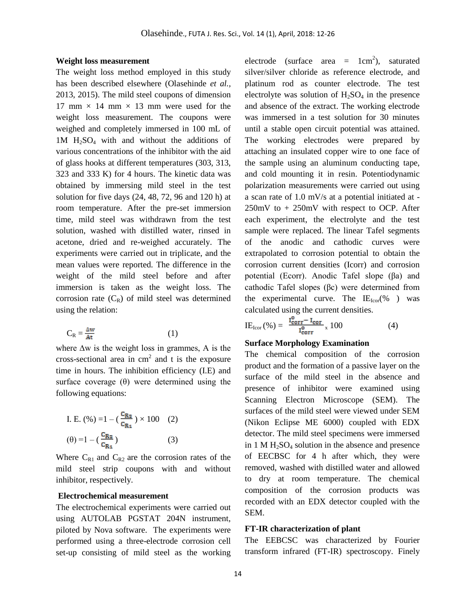#### **Weight loss measurement**

The weight loss method employed in this study has been described elsewhere (Olasehinde *et al.,* 2013, 2015). The mild steel coupons of dimension 17 mm  $\times$  14 mm  $\times$  13 mm were used for the weight loss measurement. The coupons were weighed and completely immersed in 100 mL of  $1M$  H<sub>2</sub>SO<sub>4</sub> with and without the additions of various concentrations of the inhibitor with the aid of glass hooks at different temperatures (303, 313, 323 and 333 K) for 4 hours. The kinetic data was obtained by immersing mild steel in the test solution for five days (24, 48, 72, 96 and 120 h) at room temperature. After the pre-set immersion time, mild steel was withdrawn from the test solution, washed with distilled water, rinsed in acetone, dried and re-weighed accurately. The experiments were carried out in triplicate, and the mean values were reported. The difference in the weight of the mild steel before and after immersion is taken as the weight loss. The corrosion rate  $(C_R)$  of mild steel was determined using the relation:

$$
C_R = \frac{\Delta w}{At} \tag{1}
$$

where ∆w is the weight loss in grammes, A is the cross-sectional area in  $cm<sup>2</sup>$  and t is the exposure time in hours. The inhibition efficiency (I.E) and surface coverage  $(\theta)$  were determined using the following equations:

I. E. 
$$
(\%) = 1 - (\frac{c_{R_2}}{c_{R_1}}) \times 100
$$
 (2)  
 $(\theta) = 1 - (\frac{c_{R_2}}{c_{R_1}})$  (3)

Where  $C_{R1}$  and  $C_{R2}$  are the corrosion rates of the mild steel strip coupons with and without inhibitor, respectively.

## **Electrochemical measurement**

The electrochemical experiments were carried out using AUTOLAB PGSTAT 204N instrument, piloted by Nova software. The experiments were performed using a three-electrode corrosion cell set-up consisting of mild steel as the working

electrode (surface area =  $1 \text{ cm}^2$ ), saturated silver/silver chloride as reference electrode, and platinum rod as counter electrode. The test electrolyte was solution of  $H_2SO_4$  in the presence and absence of the extract. The working electrode was immersed in a test solution for 30 minutes until a stable open circuit potential was attained. The working electrodes were prepared by attaching an insulated copper wire to one face of the sample using an aluminum conducting tape, and cold mounting it in resin. Potentiodynamic polarization measurements were carried out using a scan rate of 1.0 mV/s at a potential initiated at - 250mV to + 250mV with respect to OCP. After each experiment, the electrolyte and the test sample were replaced. The linear Tafel segments of the anodic and cathodic curves were extrapolated to corrosion potential to obtain the corrosion current densities (Icorr) and corrosion potential (Ecorr). Anodic Tafel slope (βa) and cathodic Tafel slopes (βc) were determined from the experimental curve. The  $IE<sub>Icor</sub>(% )$  was calculated using the current densities.

$$
IE_{\text{Icor}}(\%) = \frac{I_{\text{corr}}^{\text{o}} - I_{\text{corr}}}{I_{\text{corr}}^{\text{o}}} \times 100 \tag{4}
$$

#### **Surface Morphology Examination**

The chemical composition of the corrosion product and the formation of a passive layer on the surface of the mild steel in the absence and presence of inhibitor were examined using Scanning Electron Microscope (SEM). The surfaces of the mild steel were viewed under SEM (Nikon Eclipse ME 6000) coupled with EDX detector. The mild steel specimens were immersed in  $1 M H<sub>2</sub>SO<sub>4</sub>$  solution in the absence and presence of EECBSC for 4 h after which, they were removed, washed with distilled water and allowed to dry at room temperature. The chemical composition of the corrosion products was recorded with an EDX detector coupled with the SEM.

### **FT-IR characterization of plant**

The EEBCSC was characterized by Fourier transform infrared (FT-IR) spectroscopy. Finely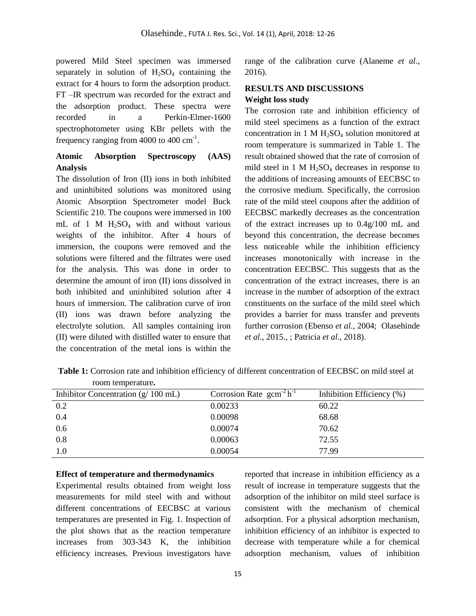powered Mild Steel specimen was immersed separately in solution of  $H<sub>2</sub>SO<sub>4</sub>$  containing the extract for 4 hours to form the adsorption product. FT –IR spectrum was recorded for the extract and the adsorption product. These spectra were recorded in a Perkin-Elmer-1600 spectrophotometer using KBr pellets with the frequency ranging from  $4000$  to  $400 \text{ cm}^{-1}$ .

# **Atomic Absorption Spectroscopy (AAS) Analysis**

The dissolution of Iron (II) ions in both inhibited and uninhibited solutions was monitored using Atomic Absorption Spectrometer model Buck Scientific 210. The coupons were immersed in 100 mL of 1 M  $H_2SO_4$  with and without various weights of the inhibitor. After 4 hours of immersion, the coupons were removed and the solutions were filtered and the filtrates were used for the analysis. This was done in order to determine the amount of iron (II) ions dissolved in both inhibited and uninhibited solution after 4 hours of immersion. The calibration curve of iron (II) ions was drawn before analyzing the electrolyte solution. All samples containing iron (II) were diluted with distilled water to ensure that the concentration of the metal ions is within the

range of the calibration curve (Alaneme *et al*., 2016).

# **RESULTS AND DISCUSSIONS Weight loss study**

The corrosion rate and inhibition efficiency of mild steel specimens as a function of the extract concentration in 1 M  $H<sub>2</sub>SO<sub>4</sub>$  solution monitored at room temperature is summarized in Table 1. The result obtained showed that the rate of corrosion of mild steel in 1 M  $H_2SO_4$  decreases in response to the additions of increasing amounts of EECBSC to the corrosive medium. Specifically, the corrosion rate of the mild steel coupons after the addition of EECBSC markedly decreases as the concentration of the extract increases up to 0.4g/100 mL and beyond this concentration, the decrease becomes less noticeable while the inhibition efficiency increases monotonically with increase in the concentration EECBSC. This suggests that as the concentration of the extract increases, there is an increase in the number of adsorption of the extract constituents on the surface of the mild steel which provides a barrier for mass transfer and prevents further corrosion (Ebenso *et al*., 2004; Olasehinde *et al.,* 2015., ; Patricia *et al*., 2018).

**Table 1:** Corrosion rate and inhibition efficiency of different concentration of EECBSC on mild steel at room temperature**.** 

| Inhibitor Concentration $(g/100 \text{ mL})$ | Corrosion Rate $gcm^{-2}h^{-1}$ | Inhibition Efficiency (%) |
|----------------------------------------------|---------------------------------|---------------------------|
| 0.2                                          | 0.00233                         | 60.22                     |
| 0.4                                          | 0.00098                         | 68.68                     |
| 0.6                                          | 0.00074                         | 70.62                     |
| 0.8                                          | 0.00063                         | 72.55                     |
| 1.0                                          | 0.00054                         | 77.99                     |
|                                              |                                 |                           |

#### **Effect of temperature and thermodynamics**

Experimental results obtained from weight loss measurements for mild steel with and without different concentrations of EECBSC at various temperatures are presented in Fig. 1. Inspection of the plot shows that as the reaction temperature increases from 303-343 K, the inhibition efficiency increases. Previous investigators have

reported that increase in inhibition efficiency as a result of increase in temperature suggests that the adsorption of the inhibitor on mild steel surface is consistent with the mechanism of chemical adsorption. For a physical adsorption mechanism, inhibition efficiency of an inhibitor is expected to decrease with temperature while a for chemical adsorption mechanism, values of inhibition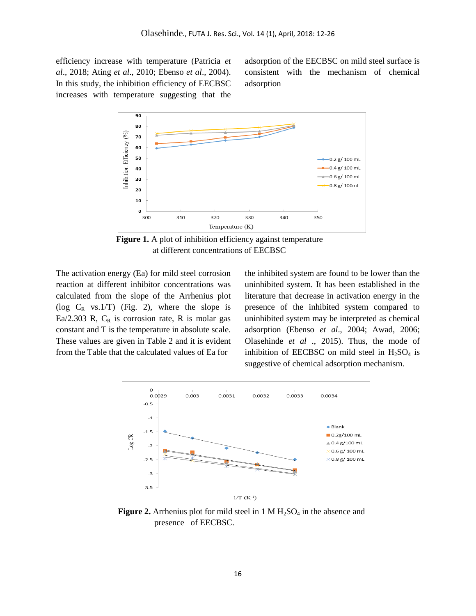efficiency increase with temperature (Patricia *et al*., 2018; Ating *et al*., 2010; Ebenso *et al*., 2004). In this study, the inhibition efficiency of EECBSC increases with temperature suggesting that the

adsorption of the EECBSC on mild steel surface is consistent with the mechanism of chemical adsorption



 **Figure 1.** A plot of inhibition efficiency against temperature at different concentrations of EECBSC

The activation energy (Ea) for mild steel corrosion reaction at different inhibitor concentrations was calculated from the slope of the Arrhenius plot ( $log C_R$  vs.1/T) (Fig. 2), where the slope is Ea/2.303 R,  $C_R$  is corrosion rate, R is molar gas constant and T is the temperature in absolute scale. These values are given in Table 2 and it is evident from the Table that the calculated values of Ea for

the inhibited system are found to be lower than the uninhibited system. It has been established in the literature that decrease in activation energy in the presence of the inhibited system compared to uninhibited system may be interpreted as chemical adsorption (Ebenso *et al*., 2004; Awad, 2006; Olasehinde *et al* ., 2015). Thus, the mode of inhibition of EECBSC on mild steel in  $H_2SO_4$  is suggestive of chemical adsorption mechanism.



**Figure 2.** Arrhenius plot for mild steel in 1 M  $H_2SO_4$  in the absence and presence of EECBSC.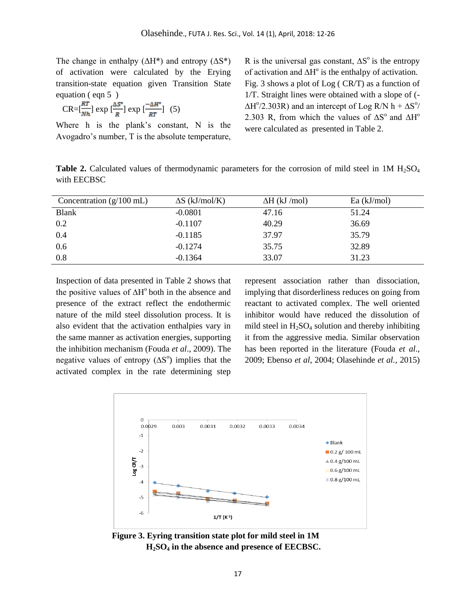The change in enthalpy  $(\Delta H^*)$  and entropy  $(\Delta S^*)$ of activation were calculated by the Erying transition-state equation given Transition State equation ( eqn 5 )

$$
CR = \left[\frac{RT}{Nh}\right] \exp\left[\frac{\Delta S^{\circ}}{R}\right] \exp\left[\frac{-\Delta H^{\circ}}{RT}\right] \tag{5}
$$

Where h is the plank's constant, N is the Avogadro's number, T is the absolute temperature,

R is the universal gas constant,  $\Delta S^{\circ}$  is the entropy of activation and  $\Delta H^{\circ}$  is the enthalpy of activation. Fig. 3 shows a plot of Log ( CR/T) as a function of 1/T. Straight lines were obtained with a slope of (-  $\Delta H^{\circ}/2.303R$ ) and an intercept of Log R/N h +  $\Delta S^{\circ}/2$ 2.303 R, from which the values of  $\Delta S^{\circ}$  and  $\Delta H^{\circ}$ were calculated as presented in Table 2.

**Table 2.** Calculated values of thermodynamic parameters for the corrosion of mild steel in 1M H<sub>2</sub>SO<sub>4</sub> with EECBSC

| Concentration $(g/100 \text{ mL})$ | $\Delta S$ (kJ/mol/K) | $\Delta H$ (kJ /mol) | $Ea$ (kJ/mol) |
|------------------------------------|-----------------------|----------------------|---------------|
| <b>Blank</b>                       | $-0.0801$             | 47.16                | 51.24         |
| 0.2                                | $-0.1107$             | 40.29                | 36.69         |
| 0.4                                | $-0.1185$             | 37.97                | 35.79         |
| 0.6                                | $-0.1274$             | 35.75                | 32.89         |
| 0.8                                | $-0.1364$             | 33.07                | 31.23         |

Inspection of data presented in Table 2 shows that the positive values of  $\Delta H^{\circ}$  both in the absence and presence of the extract reflect the endothermic nature of the mild steel dissolution process. It is also evident that the activation enthalpies vary in the same manner as activation energies, supporting the inhibition mechanism (Fouda *et al*., 2009). The negative values of entropy  $(ΔS<sup>o</sup>)$  implies that the activated complex in the rate determining step

represent association rather than dissociation, implying that disorderliness reduces on going from reactant to activated complex. The well oriented inhibitor would have reduced the dissolution of mild steel in  $H_2SO_4$  solution and thereby inhibiting it from the aggressive media. Similar observation has been reported in the literature (Fouda *et al*., 2009; Ebenso *et al*, 2004; Olasehinde *et al.,* 2015)



**Figure 3. Eyring transition state plot for mild steel in 1M H2SO<sup>4</sup> in the absence and presence of EECBSC.**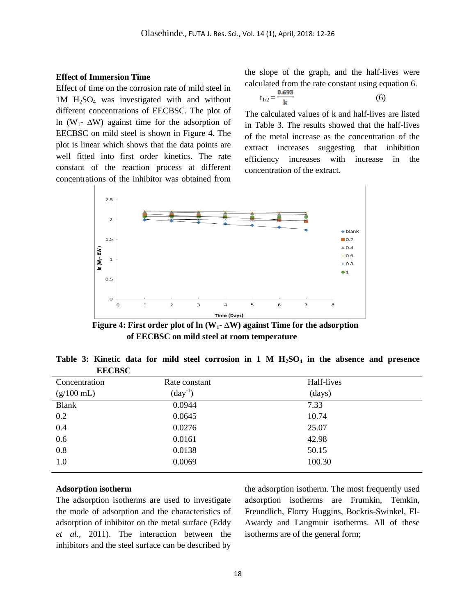## **Effect of Immersion Time**

Effect of time on the corrosion rate of mild steel in  $1M$  H<sub>2</sub>SO<sub>4</sub> was investigated with and without different concentrations of EECBSC. The plot of ln (W<sub>1</sub>-  $\Delta$ W) against time for the adsorption of EECBSC on mild steel is shown in Figure 4. The plot is linear which shows that the data points are well fitted into first order kinetics. The rate constant of the reaction process at different concentrations of the inhibitor was obtained from

the slope of the graph, and the half-lives were calculated from the rate constant using equation 6.

$$
t_{1/2} = \frac{0.693}{k}
$$
 (6)

The calculated values of k and half-lives are listed in Table 3. The results showed that the half-lives of the metal increase as the concentration of the extract increases suggesting that inhibition efficiency increases with increase in the concentration of the extract.



 **Figure 4: First order plot of ln** ( $W_1$ **-**  $\Delta W$ ) against Time for the adsorption  **of EECBSC on mild steel at room temperature**

**Table 3: Kinetic data for mild steel corrosion in 1 M H2SO<sup>4</sup> in the absence and presence EECBSC**

| Concentration        | Rate constant       | Half-lives |  |
|----------------------|---------------------|------------|--|
| $(g/100 \text{ mL})$ | $\text{(day}^{-1})$ | (days)     |  |
| <b>Blank</b>         | 0.0944              | 7.33       |  |
| 0.2                  | 0.0645              | 10.74      |  |
| 0.4                  | 0.0276              | 25.07      |  |
| 0.6                  | 0.0161              | 42.98      |  |
| 0.8                  | 0.0138              | 50.15      |  |
| 1.0                  | 0.0069              | 100.30     |  |
|                      |                     |            |  |

### **Adsorption isotherm**

The adsorption isotherms are used to investigate the mode of adsorption and the characteristics of adsorption of inhibitor on the metal surface (Eddy *et al.,* 2011). The interaction between the inhibitors and the steel surface can be described by the adsorption isotherm. The most frequently used adsorption isotherms are Frumkin, Temkin, Freundlich, Florry Huggins, Bockris-Swinkel, El-Awardy and Langmuir isotherms. All of these isotherms are of the general form;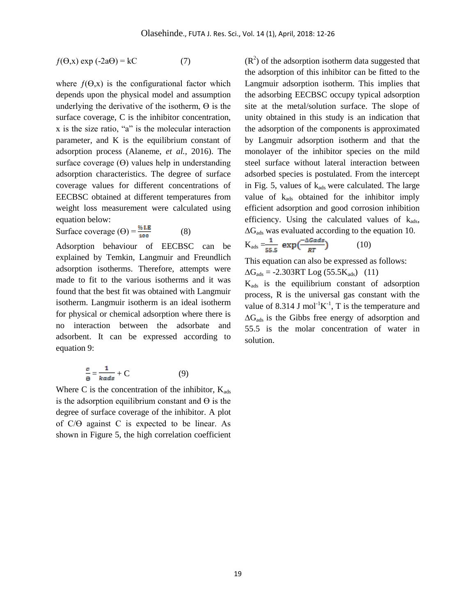$$
f(\Theta, x) \exp(-2a\Theta) = kC \tag{7}
$$

where  $f(\Theta, x)$  is the configurational factor which depends upon the physical model and assumption underlying the derivative of the isotherm,  $\Theta$  is the surface coverage, C is the inhibitor concentration, x is the size ratio, "a" is the molecular interaction parameter, and K is the equilibrium constant of adsorption process (Alaneme, *et al.,* 2016). The surface coverage  $(\Theta)$  values help in understanding adsorption characteristics. The degree of surface coverage values for different concentrations of EECBSC obtained at different temperatures from weight loss measurement were calculated using equation below:

Surface coverage  $(\Theta) = \frac{\% \text{ L.E}}{400}$  (8)

Adsorption behaviour of EECBSC can be explained by Temkin, Langmuir and Freundlich adsorption isotherms. Therefore, attempts were made to fit to the various isotherms and it was found that the best fit was obtained with Langmuir isotherm. Langmuir isotherm is an ideal isotherm for physical or chemical adsorption where there is no interaction between the adsorbate and adsorbent. It can be expressed according to equation 9:

$$
\frac{c}{\Theta} = \frac{1}{kads} + C \tag{9}
$$

Where C is the concentration of the inhibitor,  $K_{ads}$ is the adsorption equilibrium constant and  $\Theta$  is the degree of surface coverage of the inhibitor. A plot of  $C/\Theta$  against C is expected to be linear. As shown in Figure 5, the high correlation coefficient

 $(R<sup>2</sup>)$  of the adsorption isotherm data suggested that the adsorption of this inhibitor can be fitted to the Langmuir adsorption isotherm. This implies that the adsorbing EECBSC occupy typical adsorption site at the metal/solution surface. The slope of unity obtained in this study is an indication that the adsorption of the components is approximated by Langmuir adsorption isotherm and that the monolayer of the inhibitor species on the mild steel surface without lateral interaction between adsorbed species is postulated. From the intercept in Fig. 5, values of  $k_{ads}$  were calculated. The large value of  $k_{ads}$  obtained for the inhibitor imply efficient adsorption and good corrosion inhibition efficiency. Using the calculated values of  $k_{ads}$ ,  $\Delta G_{ads}$  was evaluated according to the equation 10.

$$
K_{ads} = \frac{1}{55.5} \exp\left(\frac{-\Delta Gads}{RT}\right) \tag{10}
$$

This equation can also be expressed as follows:

 $\Delta G_{ads} = -2.303RT \text{ Log } (55.5K_{ads})$  (11)

 $K_{ads}$  is the equilibrium constant of adsorption process, R is the universal gas constant with the value of 8.314 J mol<sup>-1</sup>K<sup>-1</sup>, T is the temperature and  $\Delta G_{ads}$  is the Gibbs free energy of adsorption and 55.5 is the molar concentration of water in solution.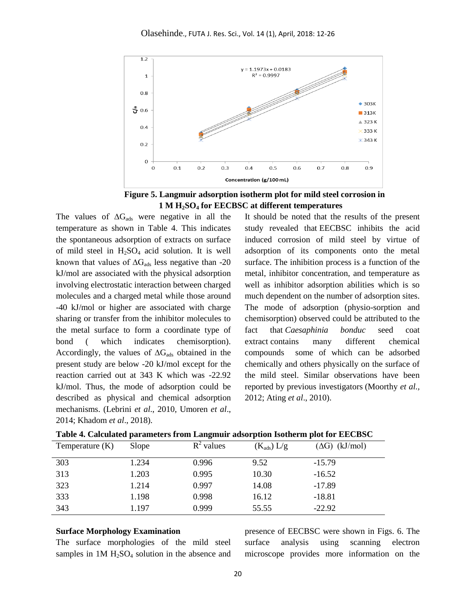

 **Figure 5. Langmuir adsorption isotherm plot for mild steel corrosion in 1 M H2SO<sup>4</sup> for EECBSC at different temperatures**

The values of  $\Delta G_{ads}$  were negative in all the temperature as shown in Table 4. This indicates the spontaneous adsorption of extracts on surface of mild steel in  $H_2SO_4$  acid solution. It is well known that values of  $\Delta G_{ads}$  less negative than -20 kJ/mol are associated with the physical adsorption involving electrostatic interaction between charged molecules and a charged metal while those around -40 kJ/mol or higher are associated with charge sharing or transfer from the inhibitor molecules to the metal surface to form a coordinate type of bond ( which indicates chemisorption). Accordingly, the values of  $\Delta G_{ads}$  obtained in the present study are below -20 kJ/mol except for the reaction carried out at 343 K which was -22.92 kJ/mol. Thus, the mode of adsorption could be described as physical and chemical adsorption mechanisms. (Lebrini *et al*., 2010, Umoren *et al*., 2014; Khadom *et al*., 2018).

It should be noted that the results of the present study revealed that EECBSC inhibits the acid induced corrosion of mild steel by virtue of adsorption of its components onto the metal surface. The inhibition process is a function of the metal, inhibitor concentration, and temperature as well as inhibitor adsorption abilities which is so much dependent on the number of adsorption sites. The mode of adsorption (physio-sorption and chemisorption) observed could be attributed to the fact that *Caesaphinia bonduc* seed coat extract contains many different chemical compounds some of which can be adsorbed chemically and others physically on the surface of the mild steel. Similar observations have been reported by previous investigators (Moorthy *et al.,* 2012; Ating *et al*., 2010).

| Temperature $(K)$ | Slope | $R^2$ values | $(K_{ads}) L/g$ | $(\Delta G)$ (kJ/mol) |
|-------------------|-------|--------------|-----------------|-----------------------|
| 303               | 1.234 | 0.996        | 9.52            | $-15.79$              |
| 313               | 1.203 | 0.995        | 10.30           | $-16.52$              |
| 323               | 1.214 | 0.997        | 14.08           | $-17.89$              |
| 333               | 1.198 | 0.998        | 16.12           | $-18.81$              |
| 343               | 1.197 | 0.999        | 55.55           | $-22.92$              |

**Table 4. Calculated parameters from Langmuir adsorption Isotherm plot for EECBSC**

#### **Surface Morphology Examination**

The surface morphologies of the mild steel samples in  $1M H<sub>2</sub>SO<sub>4</sub>$  solution in the absence and

presence of EECBSC were shown in Figs. 6. The surface analysis using scanning electron microscope provides more information on the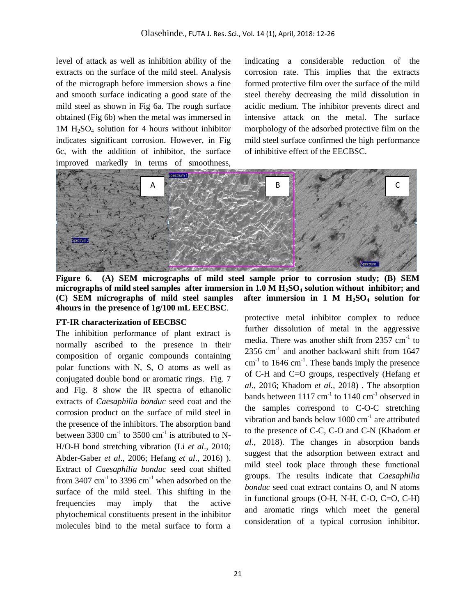level of attack as well as inhibition ability of the extracts on the surface of the mild steel. Analysis of the micrograph before immersion shows a fine and smooth surface indicating a good state of the mild steel as shown in Fig 6a. The rough surface obtained (Fig 6b) when the metal was immersed in  $1M H<sub>2</sub>SO<sub>4</sub>$  solution for 4 hours without inhibitor indicates significant corrosion. However, in Fig 6c, with the addition of inhibitor, the surface improved markedly in terms of smoothness,

indicating a considerable reduction of the corrosion rate. This implies that the extracts formed protective film over the surface of the mild steel thereby decreasing the mild dissolution in acidic medium. The inhibitor prevents direct and intensive attack on the metal. The surface morphology of the adsorbed protective film on the mild steel surface confirmed the high performance of inhibitive effect of the EECBSC.



**Figure 6. (A) SEM micrographs of mild steel sample prior to corrosion study; (B) SEM micrographs of mild steel samples after immersion in 1.0 M H2SO<sup>4</sup> solution without inhibitor; and (C) SEM micrographs of mild steel samples after immersion in 1 M H2SO<sup>4</sup> solution for 4hours in the presence of 1g/100 mL EECBSC**.

### **FT-IR characterization of EECBSC**

The inhibition performance of plant extract is normally ascribed to the presence in their composition of organic compounds containing polar functions with N, S, O atoms as well as conjugated double bond or aromatic rings. Fig. 7 and Fig. 8 show the IR spectra of ethanolic extracts of *Caesaphilia bonduc* seed coat and the corrosion product on the surface of mild steel in the presence of the inhibitors. The absorption band between 3300 cm<sup>-1</sup> to 3500 cm<sup>-1</sup> is attributed to N-H/O-H bond stretching vibration (Li *et al*., 2010; Abder-Gaber *et al*., 2006; Hefang *et al*., 2016) ). Extract of *Caesaphilia bonduc* seed coat shifted from  $3407 \text{ cm}^{-1}$  to  $3396 \text{ cm}^{-1}$  when adsorbed on the surface of the mild steel. This shifting in the frequencies may imply that the active phytochemical constituents present in the inhibitor molecules bind to the metal surface to form a protective metal inhibitor complex to reduce further dissolution of metal in the aggressive media. There was another shift from  $2357 \text{ cm}^{-1}$  to  $2356$  cm<sup>-1</sup> and another backward shift from 1647  $cm<sup>-1</sup>$  to 1646  $cm<sup>-1</sup>$ . These bands imply the presence of C-H and C=O groups, respectively (Hefang *et al*., 2016; Khadom *et al.,* 2018) . The absorption bands between  $1117 \text{ cm}^{-1}$  to  $1140 \text{ cm}^{-1}$  observed in the samples correspond to C-O-C stretching vibration and bands below  $1000 \text{ cm}^{-1}$  are attributed to the presence of C-C, C-O and C-N (Khadom *et al*., 2018). The changes in absorption bands suggest that the adsorption between extract and mild steel took place through these functional groups. The results indicate that *Caesaphilia bonduc* seed coat extract contains O, and N atoms in functional groups (O-H, N-H, C-O, C=O, C-H) and aromatic rings which meet the general consideration of a typical corrosion inhibitor.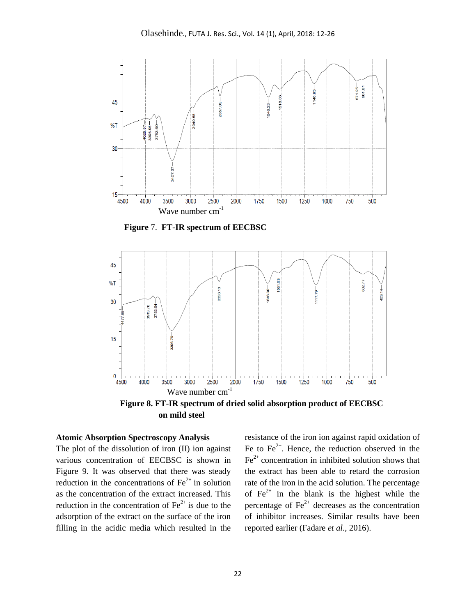

 **Figure** 7. **FT-IR spectrum of EECBSC**



 **Figure 8. FT-IR spectrum of dried solid absorption product of EECBSC on mild steel**

## **Atomic Absorption Spectroscopy Analysis**

The plot of the dissolution of iron (II) ion against various concentration of EECBSC is shown in Figure 9. It was observed that there was steady reduction in the concentrations of  $Fe<sup>2+</sup>$  in solution as the concentration of the extract increased. This reduction in the concentration of  $Fe<sup>2+</sup>$  is due to the adsorption of the extract on the surface of the iron filling in the acidic media which resulted in the

resistance of the iron ion against rapid oxidation of Fe to  $Fe<sup>2+</sup>$ . Hence, the reduction observed in the  $Fe<sup>2+</sup>$  concentration in inhibited solution shows that the extract has been able to retard the corrosion rate of the iron in the acid solution. The percentage of  $Fe^{2+}$  in the blank is the highest while the percentage of  $\text{Fe}^{2+}$  decreases as the concentration of inhibitor increases. Similar results have been reported earlier (Fadare *et al*., 2016).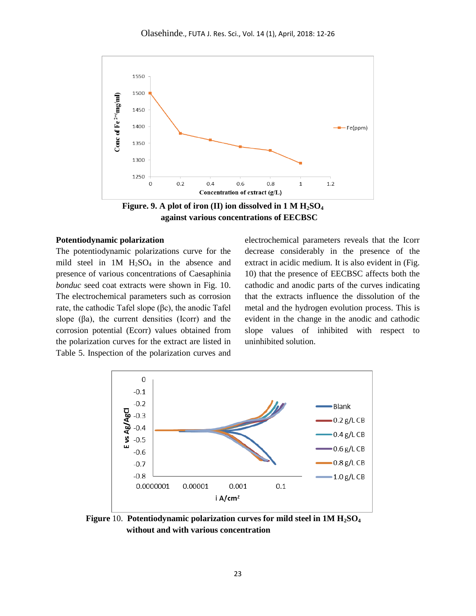

 **Figure. 9. A plot of iron (II) ion dissolved in 1 M H2SO<sup>4</sup> against various concentrations of EECBSC** 

### **Potentiodynamic polarization**

The potentiodynamic polarizations curve for the mild steel in  $1M$   $H<sub>2</sub>SO<sub>4</sub>$  in the absence and presence of various concentrations of Caesaphinia *bonduc* seed coat extracts were shown in Fig. 10. The electrochemical parameters such as corrosion rate, the cathodic Tafel slope (βc), the anodic Tafel slope  $(\beta a)$ , the current densities (Icorr) and the corrosion potential (Ecorr) values obtained from the polarization curves for the extract are listed in Table 5. Inspection of the polarization curves and

electrochemical parameters reveals that the Icorr decrease considerably in the presence of the extract in acidic medium. It is also evident in (Fig. 10) that the presence of EECBSC affects both the cathodic and anodic parts of the curves indicating that the extracts influence the dissolution of the metal and the hydrogen evolution process. This is evident in the change in the anodic and cathodic slope values of inhibited with respect to uninhibited solution.



 **Figure** 10. **Potentiodynamic polarization curves for mild steel in 1M H2SO<sup>4</sup> without and with various concentration**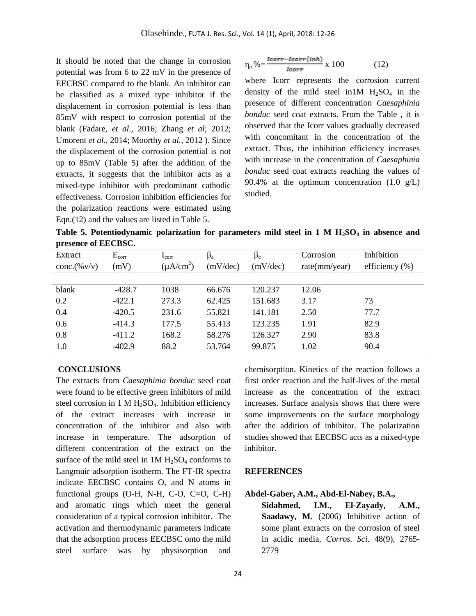It should be noted that the change in corrosion potential was from 6 to 22 mV in the presence of EECBSC compared to the blank. An inhibitor can be classified as a mixed type inhibitor if the displacement in corrosion potential is less than 85mV with respect to corrosion potential of the blank (Fadare, *et al.,* 2016; Zhang *et al*; 2012; Umorent *et al.,* 2014; Moorthy *et al.,* 2012 ). Since the displacement of the corrosion potential is not up to 85mV (Table 5) after the addition of the extracts, it suggests that the inhibitor acts as a mixed-type inhibitor with predominant cathodic effectiveness. Corrosion inhibition efficiencies for the polarization reactions were estimated using Eqn.(12) and the values are listed in Table 5.

$$
\eta_p \% = \frac{lcorr - lcorr(inh)}{lcorr} \times 100 \tag{12}
$$

where Icorr represents the corrosion current density of the mild steel in  $1M$   $H_2SO_4$  in the presence of different concentration *Caesaphinia bonduc* seed coat extracts. From the Table , it is observed that the Icorr values gradually decreased with concomitant in the concentration of the extract. Thus, the inhibition efficiency increases with increase in the concentration of *Caesaphinia bonduc* seed coat extracts reaching the values of 90.4% at the optimum concentration (1.0 g/L) studied.

**Table 5. Potentiodynamic polarization for parameters mild steel in 1 M H2SO<sup>4</sup> in absence and presence of EECBSC.**

| Extract<br>conc.(%v/v) | $E_{corr}$<br>(mV) | $I_{\rm corr}$<br>$(\mu A/cm^2)$ | $\beta_a$<br>(mV/dec) | $\beta_c$<br>(mV/dec) | Corrosion<br>rate(mm/year) | Inhibition<br>efficiency $(\% )$ |
|------------------------|--------------------|----------------------------------|-----------------------|-----------------------|----------------------------|----------------------------------|
|                        |                    |                                  |                       |                       |                            |                                  |
| blank                  | $-428.7$           | 1038                             | 66.676                | 120.237               | 12.06                      |                                  |
| 0.2                    | $-422.1$           | 273.3                            | 62.425                | 151.683               | 3.17                       | 73                               |
| 0.4                    | $-420.5$           | 231.6                            | 55.821                | 141.181               | 2.50                       | 77.7                             |
| 0.6                    | $-414.3$           | 177.5                            | 55.413                | 123.235               | 1.91                       | 82.9                             |
| 0.8                    | $-411.2$           | 168.2                            | 58.276                | 126.327               | 2.90                       | 83.8                             |
| 1.0                    | $-402.9$           | 88.2                             | 53.764                | 99.875                | 1.02                       | 90.4                             |

#### **CONCLUSIONS**

The extracts from *Caesaphinia bonduc* seed coat were found to be effective green inhibitors of mild steel corrosion in  $1 M H_2SO_4$ . Inhibition efficiency of the extract increases with increase in concentration of the inhibitor and also with increase in temperature. The adsorption of different concentration of the extract on the surface of the mild steel in  $1M H_2SO_4$  conforms to Langmuir adsorption isotherm. The FT-IR spectra indicate EECBSC contains O, and N atoms in functional groups (O-H, N-H, C-O, C=O, C-H) and aromatic rings which meet the general consideration of a typical corrosion inhibitor. The activation and thermodynamic parameters indicate that the adsorption process EECBSC onto the mild steel surface was by physisorption and

chemisorption. Kinetics of the reaction follows a first order reaction and the half-lives of the metal increase as the concentration of the extract increases. Surface analysis shows that there were some improvements on the surface morphology after the addition of inhibitor. The polarization studies showed that EECBSC acts as a mixed-type inhibitor.

## **REFERENCES**

#### **Abdel-Gaber, A.M., Abd-El-Nabey, B.A.,**

**Sidahmed, I.M., El-Zayady, A.M., Saadawy, M.** (2006) Inhibitive action of some plant extracts on the corrosion of steel in acidic media, *Corros. Sci.* 48(9), 2765- 2779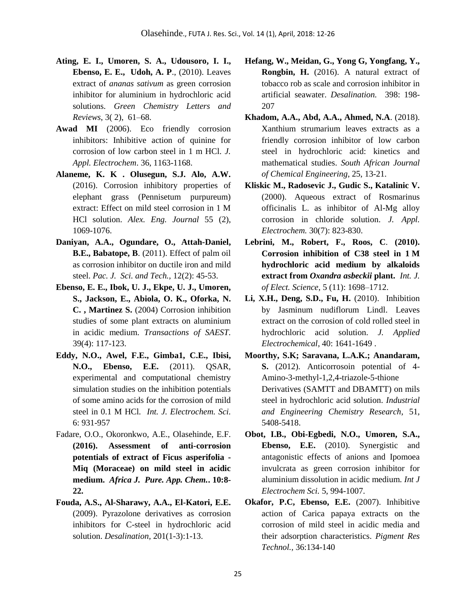- **Ating, E. I., Umoren, S. A., Udousoro, I. I., Ebenso, E. E., Udoh, A. P**., (2010). Leaves extract of *ananas sativum* as green corrosion inhibitor for aluminium in hydrochloric acid solutions. *Green Chemistry Letters and Reviews*, 3( 2), 61–68.
- **Awad MI** (2006). Eco friendly corrosion inhibitors: Inhibitive action of quinine for corrosion of low carbon steel in 1 m HCl. *J. Appl. Electrochem*. 36, 1163-1168.
- **Alaneme, K. K . Olusegun, S.J. Alo, A.W.**  (2016). [Corrosion inhibitory properties of](javascript:void(0))  [elephant grass \(Pennisetum purpureum\)](javascript:void(0))  [extract: Effect on mild steel corrosion in 1 M](javascript:void(0))  [HCl solution.](javascript:void(0)) *Alex. Eng. Journal* 55 (2), 1069-1076.
- **Daniyan, A.A., Ogundare, O., Attah-Daniel, B.E., Babatope, B**. (2011). Effect of palm oil as corrosion inhibitor on ductile iron and mild steel. *Pac. J. Sci. and Tech.,* 12(2): 45-53.
- **Ebenso, E. E., Ibok, U. J., Ekpe, U. J., Umoren, S., Jackson, E., Abiola, O. K., Oforka, N. C. , Martinez S.** (2004) Corrosion inhibition studies of some plant extracts on aluminium in acidic medium. *Transactions of SAEST.* 39(4): 117-123.
- **Eddy, N.O., Awel, F.E., Gimba1, C.E., Ibisi, N.O., Ebenso, E.E.** (2011). QSAR, experimental and computational chemistry simulation studies on the inhibition potentials of some amino acids for the corrosion of mild steel in 0.1 M HCl*. Int. J. Electrochem. Sci.* 6: 931-957
- Fadare, O.O., Okoronkwo, A.E., Olasehinde, E.F. **(2016). Assessment of anti-corrosion potentials of extract of Ficus asperifolia - Miq (Moraceae) on mild steel in acidic medium.** *Africa J. Pure. App. Chem.***. 10:8- 22.**
- **Fouda, A.S., Al-Sharawy, A.A., El-Katori, E.E.** (2009). Pyrazolone derivatives as corrosion inhibitors for C-steel in hydrochloric acid solution. *Desalination,* 201(1-3):1-13.
- **Hefang, W., Meidan, G., Yong G, Yongfang, Y., Rongbin, H.** (2016). A natural extract of tobacco rob as scale and corrosion inhibitor in artificial seawater. *Desalination.* 398: 198- 207
- **Khadom, A.A., Abd, A.A., Ahmed, N.A**. (2018). Xanthium strumarium leaves extracts as a friendly corrosion inhibitor of low carbon steel in hydrochloric acid: kinetics and mathematical studies. *South African Journal of Chemical Engineering,* 25, 13-21.
- **Kliskic M., Radosevic J., Gudic S., Katalinic V.** (2000). Aqueous extract of Rosmarinus officinalis L. as inhibitor of Al-Mg alloy corrosion in chloride solution. *J. Appl. Electrochem.* 30(7): 823-830.
- **Lebrini, M., Robert, F., Roos, C**. **(2010). Corrosion inhibition of C38 steel in 1 M hydrochloric acid medium by alkaloids extract from** *Oxandra asbeckii* **plant.** *Int. J. of Elect. Science*, 5 (11): 1698–1712.
- **Li, X.H., Deng, S.D., Fu, H.** (2010). Inhibition by Jasminum nudiflorum Lindl. Leaves extract on the corrosion of cold rolled steel in hydrochloric acid solution. *J. Applied Electrochemical*, 40: 1641-1649 .
- **Moorthy, S.K; Saravana, L.A.K.; Anandaram, S.** (2012). Anticorrosoin potential of 4- Amino-3-methyl-1,2,4-triazole-5-thione Derivatives (SAMTT and DBAMTT) on mils steel in hydrochloric acid solution. *Industrial and Engineering Chemistry Research*, 51, 5408-5418.
- **Obot, I.B., Obi-Egbedi, N.O., Umoren, S.A., Ebenso, E.E.** (2010). Synergistic and antagonistic effects of anions and Ipomoea invulcrata as green corrosion inhibitor for aluminium dissolution in acidic medium. *Int J Electrochem Sci.* 5, 994-1007.
- **Okafor, P.C, Ebenso, E.E.** (2007). Inhibitive action of Carica papaya extracts on the corrosion of mild steel in acidic media and their adsorption characteristics. *Pigment Res Technol.,* 36:134-140